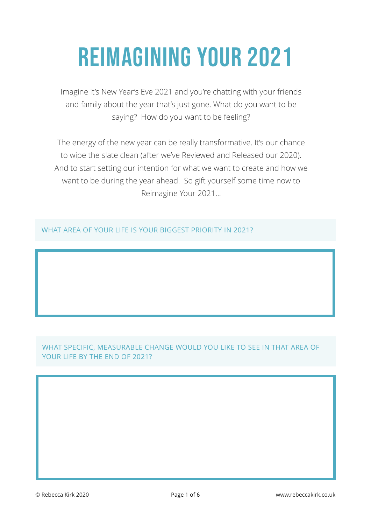## Reimagining YOUR 2021

Imagine it's New Year's Eve 2021 and you're chatting with your friends and family about the year that's just gone. What do you want to be saying? How do you want to be feeling?

The energy of the new year can be really transformative. It's our chance to wipe the slate clean (after we've Reviewed and Released our 2020). And to start setting our intention for what we want to create and how we want to be during the year ahead. So gift yourself some time now to Reimagine Your 2021…

WHAT AREA OF YOUR LIFE IS YOUR BIGGEST PRIORITY IN 2021?

## WHAT SPECIFIC, MEASURABLE CHANGE WOULD YOU LIKE TO SEE IN THAT AREA OF YOUR LIFE BY THE END OF 2021?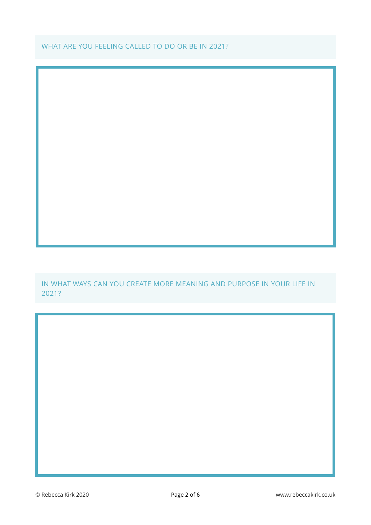WHAT ARE YOU FEELING CALLED TO DO OR BE IN 2021?

IN WHAT WAYS CAN YOU CREATE MORE MEANING AND PURPOSE IN YOUR LIFE IN 2021?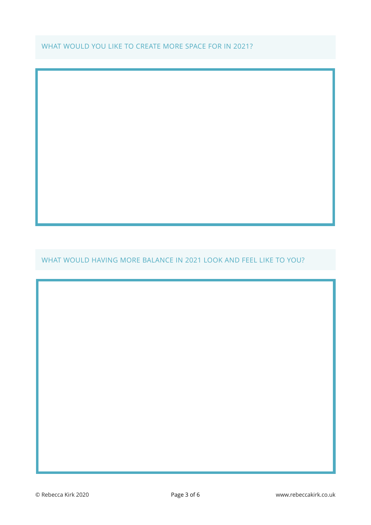WHAT WOULD YOU LIKE TO CREATE MORE SPACE FOR IN 2021?

WHAT WOULD HAVING MORE BALANCE IN 2021 LOOK AND FEEL LIKE TO YOU?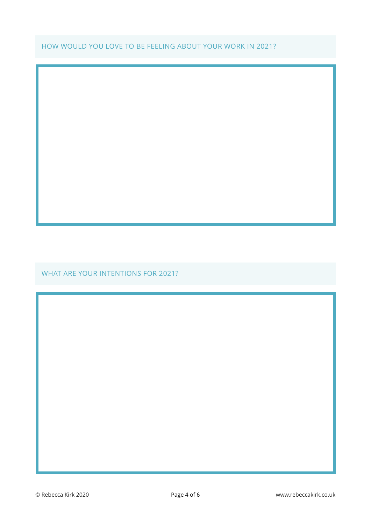HOW WOULD YOU LOVE TO BE FEELING ABOUT YOUR WORK IN 2021?

WHAT ARE YOUR INTENTIONS FOR 2021?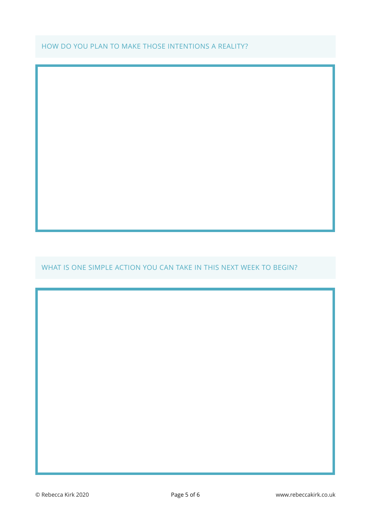## HOW DO YOU PLAN TO MAKE THOSE INTENTIONS A REALITY?

WHAT IS ONE SIMPLE ACTION YOU CAN TAKE IN THIS NEXT WEEK TO BEGIN?